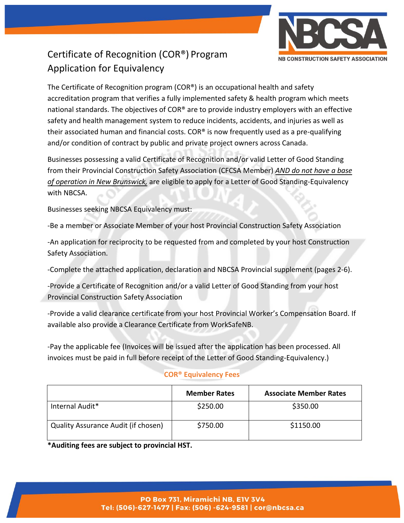

## Certificate of Recognition (COR®) Program Application for Equivalency

The Certificate of Recognition program (COR®) is an occupational health and safety accreditation program that verifies a fully implemented safety & health program which meets national standards. The objectives of  $COR^{\otimes}$  are to provide industry employers with an effective safety and health management system to reduce incidents, accidents, and injuries as well as their associated human and financial costs. COR® is now frequently used as a pre-qualifying and/or condition of contract by public and private project owners across Canada.

Businesses possessing a valid Certificate of Recognition and/or valid Letter of Good Standing from their Provincial Construction Safety Association (CFCSA Member) *AND do not have a base of operation in New Brunswick,* are eligible to apply for a Letter of Good Standing-Equivalency with NBCSA.

Businesses seeking NBCSA Equivalency must:

-Be a member or Associate Member of your host Provincial Construction Safety Association

-An application for reciprocity to be requested from and completed by your host Construction Safety Association.

-Complete the attached application, declaration and NBCSA Provincial supplement (pages 2-6).

-Provide a Certificate of Recognition and/or a valid Letter of Good Standing from your host Provincial Construction Safety Association

-Provide a valid clearance certificate from your host Provincial Worker's Compensation Board. If available also provide a Clearance Certificate from WorkSafeNB.

-Pay the applicable fee (Invoices will be issued after the application has been processed. All invoices must be paid in full before receipt of the Letter of Good Standing-Equivalency.)

#### **COR® Equivalency Fees**

|                                     | <b>Member Rates</b> | <b>Associate Member Rates</b> |
|-------------------------------------|---------------------|-------------------------------|
| Internal Audit*                     | \$250.00            | \$350.00                      |
| Quality Assurance Audit (if chosen) | \$750.00            | \$1150.00                     |

**\*Auditing fees are subject to provincial HST.**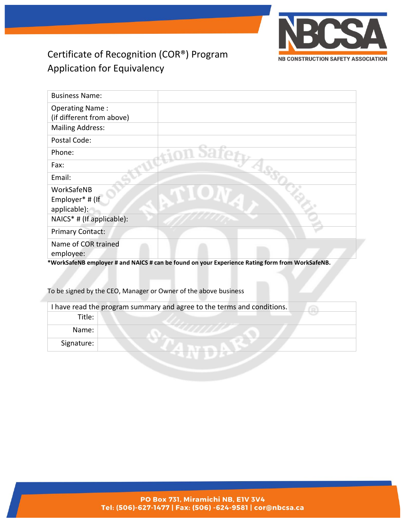

### Certificate of Recognition (COR®) Program Application for Equivalency

| <b>Business Name:</b>     |                                                                                                 |
|---------------------------|-------------------------------------------------------------------------------------------------|
| <b>Operating Name:</b>    |                                                                                                 |
| (if different from above) |                                                                                                 |
| <b>Mailing Address:</b>   |                                                                                                 |
| Postal Code:              |                                                                                                 |
| Phone:                    |                                                                                                 |
| Fax:                      |                                                                                                 |
| Email:                    |                                                                                                 |
| WorkSafeNB                |                                                                                                 |
| Employer* # (If           |                                                                                                 |
| applicable):              |                                                                                                 |
| NAICS* # (If applicable): |                                                                                                 |
| <b>Primary Contact:</b>   |                                                                                                 |
| Name of COR trained       |                                                                                                 |
| employee:                 |                                                                                                 |
|                           | *WorkSafeNB employer # and NAICS # can be found on your Experience Rating form from WorkSafeNB. |

To be signed by the CEO, Manager or Owner of the above business

| I have read the program summary and agree to the terms and conditions. |  |  |  |
|------------------------------------------------------------------------|--|--|--|
| Title:                                                                 |  |  |  |
| Name:                                                                  |  |  |  |
| Signature:                                                             |  |  |  |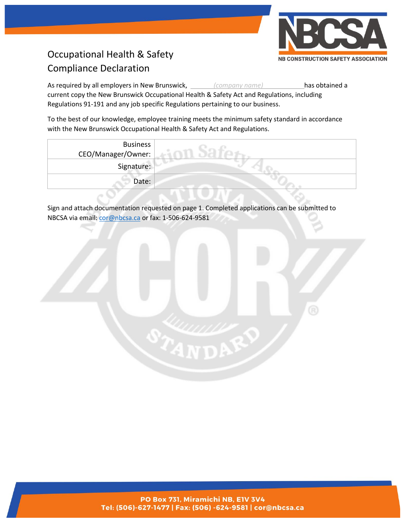

# Occupational Health & Safety Compliance Declaration

As required by all employers in New Brunswick, *(company name)* has obtained a current copy the New Brunswick Occupational Health & Safety Act and Regulations, including Regulations 91-191 and any job specific Regulations pertaining to our business.

To the best of our knowledge, employee training meets the minimum safety standard in accordance with the New Brunswick Occupational Health & Safety Act and Regulations.

| <b>Business</b><br>CEO/Manager/Owner: |  |
|---------------------------------------|--|
| Signature:                            |  |
| Date:                                 |  |

Sign and attach documentation requested on page 1. Completed applications can be submitted to NBCSA via email: [cor@nbcsa.ca](mailto:cor@nbcsa.ca) or fax: 1-506-624-9581



PO Box 731, Miramichi NB, E1V 3V4 Tel: (506)-627-1477 | Fax: (506) -624-9581 | cor@nbcsa.ca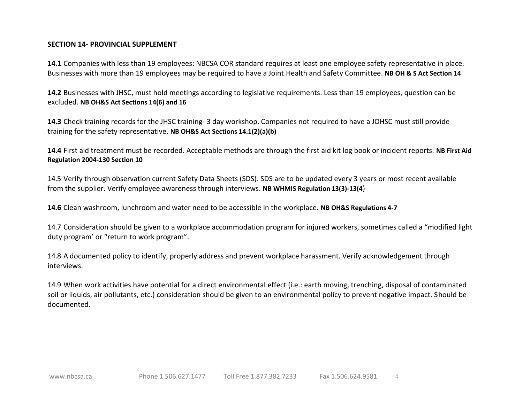#### **SECTION 14- PROVINCIAL SUPPLEMENT**

**14.1** Companies with less than 19 employees: NBCSA COR standard requires at least one employee safety representative in place. Businesses with more than 19 employees may be required to have a Joint Health and Safety Committee. **NB OH & S Act Section 14**

**14.2** Businesses with JHSC, must hold meetings according to legislative requirements. Less than 19 employees, question can be excluded. **NB OH&S Act Sections 14(6) and 16**

**14.3** Check training records for the JHSC training- 3 day workshop. Companies not required to have a JOHSC must still provide training for the safety representative. **NB OH&S Act Sections 14.1(2)(a)(b)**

**14.4** First aid treatment must be recorded. Acceptable methods are through the first aid kit log book or incident reports. **NB First Aid Regulation 2004-130 Section 10**

14.5 Verify through observation current Safety Data Sheets (SDS). SDS are to be updated every 3 years or most recent available from the supplier. Verify employee awareness through interviews. **NB WHMIS Regulation 13(3)-13(4**)

**14.6** Clean washroom, lunchroom and water need to be accessible in the workplace. **NB OH&S Regulations 4-7**

14.7 Consideration should be given to a workplace accommodation program for injured workers, sometimes called a "modified light duty program' or "return to work program".

14.8 A documented policy to identify, properly address and prevent workplace harassment. Verify acknowledgement through interviews.

14.9 When work activities have potential for a direct environmental effect (i.e.: earth moving, trenching, disposal of contaminated soil or liquids, air pollutants, etc.) consideration should be given to an environmental policy to prevent negative impact. Should be documented.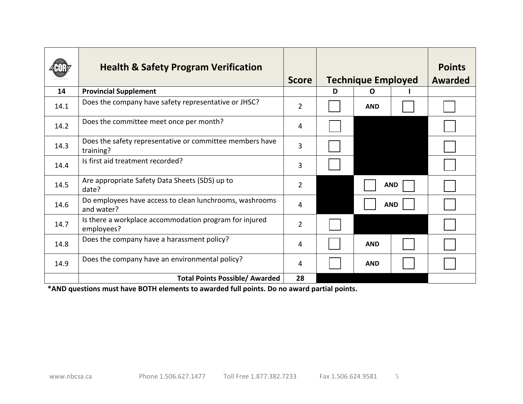|      | <b>Health &amp; Safety Program Verification</b>                       | <b>Score</b>   |   | <b>Technique Employed</b> |            | <b>Points</b><br><b>Awarded</b> |
|------|-----------------------------------------------------------------------|----------------|---|---------------------------|------------|---------------------------------|
| 14   | <b>Provincial Supplement</b>                                          |                | D | O                         |            |                                 |
| 14.1 | Does the company have safety representative or JHSC?                  | $\overline{2}$ |   | <b>AND</b>                |            |                                 |
| 14.2 | Does the committee meet once per month?                               | 4              |   |                           |            |                                 |
| 14.3 | Does the safety representative or committee members have<br>training? | 3              |   |                           |            |                                 |
| 14.4 | Is first aid treatment recorded?                                      | 3              |   |                           |            |                                 |
| 14.5 | Are appropriate Safety Data Sheets (SDS) up to<br>date?               | $\overline{2}$ |   |                           | <b>AND</b> |                                 |
| 14.6 | Do employees have access to clean lunchrooms, washrooms<br>and water? | 4              |   |                           | <b>AND</b> |                                 |
| 14.7 | Is there a workplace accommodation program for injured<br>employees?  | $\overline{2}$ |   |                           |            |                                 |
| 14.8 | Does the company have a harassment policy?                            | 4              |   | <b>AND</b>                |            |                                 |
| 14.9 | Does the company have an environmental policy?                        | 4              |   | <b>AND</b>                |            |                                 |
|      | <b>Total Points Possible/ Awarded</b>                                 | 28             |   |                           |            |                                 |

**\*AND questions must have BOTH elements to awarded full points. Do no award partial points.**